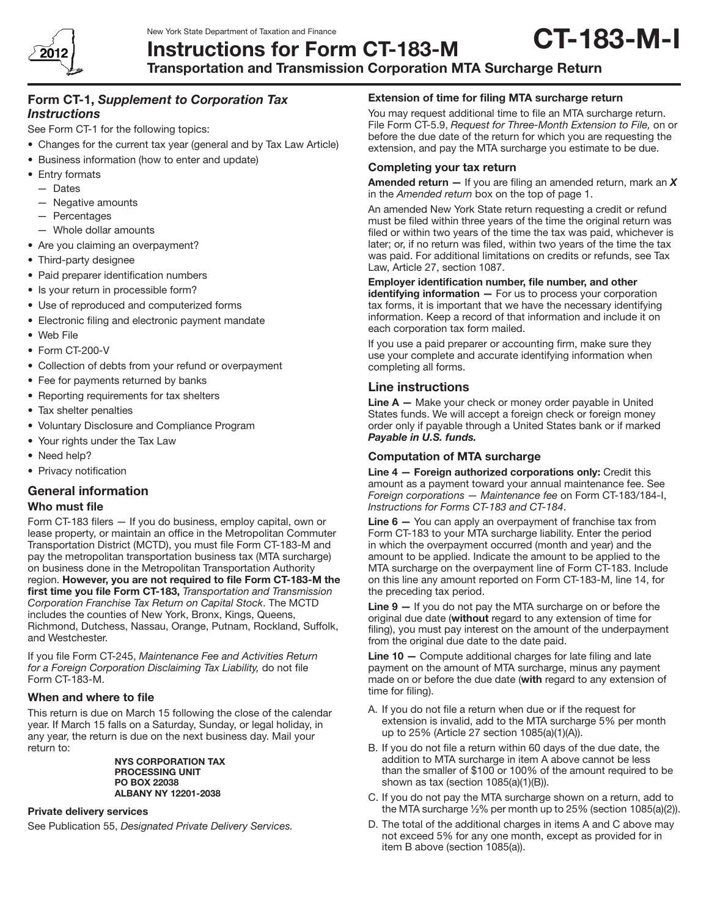

#### New York State Department of Taxation and Finance Instructions for Form CT-183-M CT-183-M-I

# Form CT-1, *Supplement to Corporation Tax Instructions*

See Form CT-1 for the following topics:

- Changes for the current tax year (general and by Tax Law Article)
- Business information (how to enter and update)
- Entry formats
	- Dates
	- Negative amounts
	- Percentages
	- Whole dollar amounts
- Are you claiming an overpayment?
- Third-party designee
- Paid preparer identification numbers
- Is your return in processible form?
- Use of reproduced and computerized forms
- Electronic filing and electronic payment mandate
- • Web File
- Form CT-200-V
- Collection of debts from your refund or overpayment
- Fee for payments returned by banks
- Reporting requirements for tax shelters
- Tax shelter penalties
- • Voluntary Disclosure and Compliance Program
- Your rights under the Tax Law
- Need help?
- Privacy notification

# General information

## Who must file

Form CT-183 filers — If you do business, employ capital, own or lease property, or maintain an office in the Metropolitan Commuter Transportation District (MCTD), you must file Form CT-183-M and pay the metropolitan transportation business tax (MTA surcharge) on business done in the Metropolitan Transportation Authority region. However, you are not required to file Form CT-183-M the first time you file Form CT-183, *Transportation and Transmission Corporation Franchise Tax Return on Capital Stock*. The MCTD includes the counties of New York, Bronx, Kings, Queens, Richmond, Dutchess, Nassau, Orange, Putnam, Rockland, Suffolk, and Westchester.

If you file Form CT-245, *Maintenance Fee and Activities Return for a Foreign Corporation Disclaiming Tax Liability,* do not file Form CT-183-M.

## When and where to file

This return is due on March 15 following the close of the calendar year. If March 15 falls on a Saturday, Sunday, or legal holiday, in any year, the return is due on the next business day. Mail your return to:

> NYS CORPORATION TAX PROCESSING UNIT PO BOX 22038 ALBANY NY 12201-2038

## Private delivery services

See Publication 55, *Designated Private Delivery Services.*

# Extension of time for filing MTA surcharge return

You may request additional time to file an MTA surcharge return. File Form CT-5.9, *Request for Three-Month Extension to File,* on or before the due date of the return for which you are requesting the extension, and pay the MTA surcharge you estimate to be due.

## Completing your tax return

Amended return — If you are filing an amended return, mark an *X* in the *Amended return* box on the top of page 1.

An amended New York State return requesting a credit or refund must be filed within three years of the time the original return was filed or within two years of the time the tax was paid, whichever is later; or, if no return was filed, within two years of the time the tax was paid. For additional limitations on credits or refunds, see Tax Law, Article 27, section 1087.

## Employer identification number, file number, and other

 $identitying information - For us to process your corporation$ tax forms, it is important that we have the necessary identifying information. Keep a record of that information and include it on each corporation tax form mailed.

If you use a paid preparer or accounting firm, make sure they use your complete and accurate identifying information when completing all forms.

# Line instructions

**Line**  $A$   $-$  Make your check or money order payable in United States funds. We will accept a foreign check or foreign money order only if payable through a United States bank or if marked *Payable in U.S. funds.*

## Computation of MTA surcharge

Line 4 — Foreign authorized corporations only: Credit this amount as a payment toward your annual maintenance fee. See *Foreign corporations — Maintenance fee* on Form CT-183/184-I, *Instructions for Forms CT-183 and CT-184*.

Line 6 – You can apply an overpayment of franchise tax from Form CT-183 to your MTA surcharge liability. Enter the period in which the overpayment occurred (month and year) and the amount to be applied. Indicate the amount to be applied to the MTA surcharge on the overpayment line of Form CT-183. Include on this line any amount reported on Form CT-183-M, line 14, for the preceding tax period.

**Line**  $9 -$  If you do not pay the MTA surcharge on or before the original due date (without regard to any extension of time for filing), you must pay interest on the amount of the underpayment from the original due date to the date paid.

Line 10 - Compute additional charges for late filing and late payment on the amount of MTA surcharge, minus any payment made on or before the due date (with regard to any extension of time for filing).

- A. If you do not file a return when due or if the request for extension is invalid, add to the MTA surcharge 5% per month up to 25% (Article 27 section 1085(a)(1)(A)).
- B. If you do not file a return within 60 days of the due date, the addition to MTA surcharge in item A above cannot be less than the smaller of \$100 or 100% of the amount required to be shown as tax (section 1085(a)(1)(B)).
- C. If you do not pay the MTA surcharge shown on a return, add to the MTA surcharge ½% per month up to 25% (section 1085(a)(2)).
- D. The total of the additional charges in items A and C above may not exceed 5% for any one month, except as provided for in item B above (section 1085(a)).